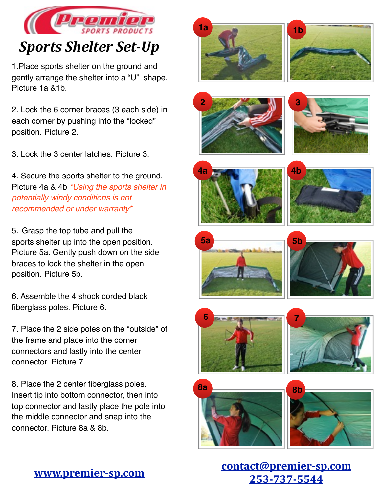

## *Sports Shelter Set-Up*

1.Place sports shelter on the ground and gently arrange the shelter into a "U" shape. Picture 1a &1b.

2. Lock the 6 corner braces (3 each side) in each corner by pushing into the "locked" position. Picture 2.

3. Lock the 3 center latches. Picture 3.

4. Secure the sports shelter to the ground. Picture 4a & 4b *\*Using the sports shelter in potentially windy conditions is not recommended or under warranty\**

5. Grasp the top tube and pull the sports shelter up into the open position. Picture 5a. Gently push down on the side braces to lock the shelter in the open position. Picture 5b.

6. Assemble the 4 shock corded black fiberglass poles. Picture 6.

7. Place the 2 side poles on the "outside" of the frame and place into the corner connectors and lastly into the center connector. Picture 7.

8. Place the 2 center fiberglass poles. Insert tip into bottom connector, then into top connector and lastly place the pole into the middle connector and snap into the connector. Picture 8a & 8b.

























**[www.premier-sp.com](http://www.premier-sp.com)**<br> **contact@premier-sp.com**<br>
253,535,5544 **253-737-5544**